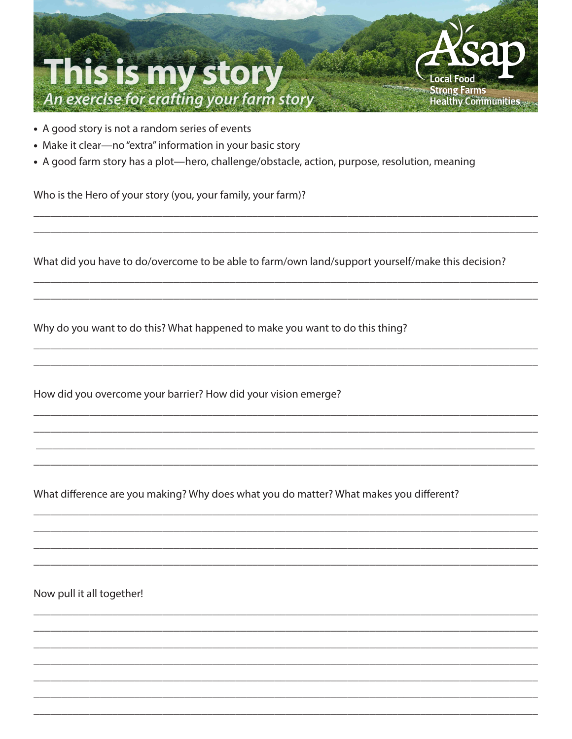

- A good story is not a random series of events
- Make it clear-no "extra" information in your basic story
- A good farm story has a plot—hero, challenge/obstacle, action, purpose, resolution, meaning

Who is the Hero of your story (you, your family, your farm)?

What did you have to do/overcome to be able to farm/own land/support yourself/make this decision?

Why do you want to do this? What happened to make you want to do this thing?

How did you overcome your barrier? How did your vision emerge?

What difference are you making? Why does what you do matter? What makes you different?

Now pull it all together!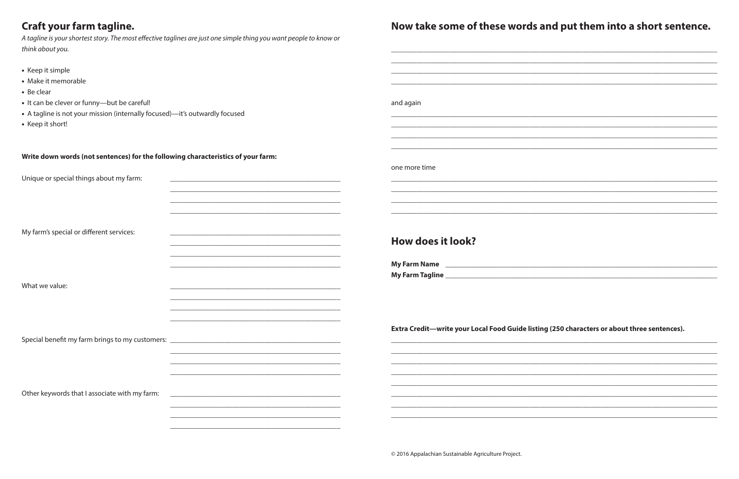# Cuaft vous forme toglie

- 
- 
- 
- 
- 

| <b>Craft your farm tagline.</b>                                                                                    |                                                             | Now take some of these words and put them into a short sentence.                                               |
|--------------------------------------------------------------------------------------------------------------------|-------------------------------------------------------------|----------------------------------------------------------------------------------------------------------------|
| A tagline is your shortest story. The most effective taglines are just one simple thing you want people to know or |                                                             |                                                                                                                |
| think about you.                                                                                                   |                                                             |                                                                                                                |
| • Keep it simple                                                                                                   |                                                             |                                                                                                                |
| • Make it memorable                                                                                                |                                                             |                                                                                                                |
| • Be clear                                                                                                         |                                                             |                                                                                                                |
| • It can be clever or funny-but be careful!                                                                        |                                                             | and again                                                                                                      |
| • A tagline is not your mission (internally focused)-it's outwardly focused                                        |                                                             |                                                                                                                |
| • Keep it short!                                                                                                   |                                                             |                                                                                                                |
|                                                                                                                    |                                                             |                                                                                                                |
| Write down words (not sentences) for the following characteristics of your farm:                                   |                                                             | one more time                                                                                                  |
| Unique or special things about my farm:                                                                            |                                                             |                                                                                                                |
|                                                                                                                    |                                                             |                                                                                                                |
|                                                                                                                    |                                                             |                                                                                                                |
|                                                                                                                    |                                                             |                                                                                                                |
| My farm's special or different services:                                                                           | <u> 1989 - Johann Stoff, amerikansk politiker (d. 1989)</u> | <b>How does it look?</b>                                                                                       |
|                                                                                                                    |                                                             |                                                                                                                |
|                                                                                                                    |                                                             | My Farm Name 2008 2009 2010 2020 2020 2020 2021 2021 2022 2021 2022 2021 2022 2022 2023 2024 2022 2022 2023 20 |
|                                                                                                                    |                                                             |                                                                                                                |
| What we value:                                                                                                     |                                                             |                                                                                                                |
|                                                                                                                    |                                                             |                                                                                                                |
|                                                                                                                    |                                                             | Extra Credit—write your Local Food Guide listing (250 characters or about three sentences).                    |
|                                                                                                                    |                                                             |                                                                                                                |
|                                                                                                                    |                                                             |                                                                                                                |
|                                                                                                                    |                                                             |                                                                                                                |
|                                                                                                                    |                                                             |                                                                                                                |
| Other keywords that I associate with my farm:                                                                      | <u> 1989 - Johann Stoff, amerikansk politiker (d. 1989)</u> |                                                                                                                |
|                                                                                                                    |                                                             |                                                                                                                |
|                                                                                                                    |                                                             |                                                                                                                |

# $\mathbf{M}$  $\cdots$  to lea a a use  $\mathbf{f}$  also  $\overline{a}$